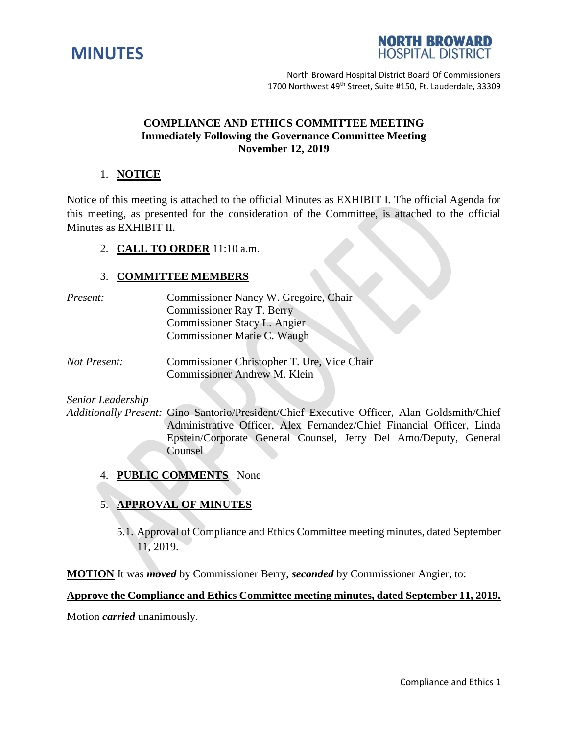



## **COMPLIANCE AND ETHICS COMMITTEE MEETING Immediately Following the Governance Committee Meeting November 12, 2019**

## 1. **NOTICE**

Notice of this meeting is attached to the official Minutes as EXHIBIT I. The official Agenda for this meeting, as presented for the consideration of the Committee, is attached to the official Minutes as EXHIBIT II.

## 2. **CALL TO ORDER** 11:10 a.m.

## 3. **COMMITTEE MEMBERS**

| Present: | Commissioner Nancy W. Gregoire, Chair |
|----------|---------------------------------------|
|          | Commissioner Ray T. Berry             |
|          | Commissioner Stacy L. Angier          |
|          | Commissioner Marie C. Waugh           |
|          |                                       |

*Not Present:* Commissioner Christopher T. Ure, Vice Chair Commissioner Andrew M. Klein

*Senior Leadership*

*Additionally Present:* Gino Santorio/President/Chief Executive Officer, Alan Goldsmith/Chief Administrative Officer, Alex Fernandez/Chief Financial Officer, Linda Epstein/Corporate General Counsel, Jerry Del Amo/Deputy, General **Counsel** 

4. **PUBLIC COMMENTS** None

# 5. **APPROVAL OF MINUTES**

5.1. Approval of Compliance and Ethics Committee meeting minutes, dated September 11, 2019.

**MOTION** It was *moved* by Commissioner Berry, *seconded* by Commissioner Angier, to:

#### **Approve the Compliance and Ethics Committee meeting minutes, dated September 11, 2019.**

Motion *carried* unanimously.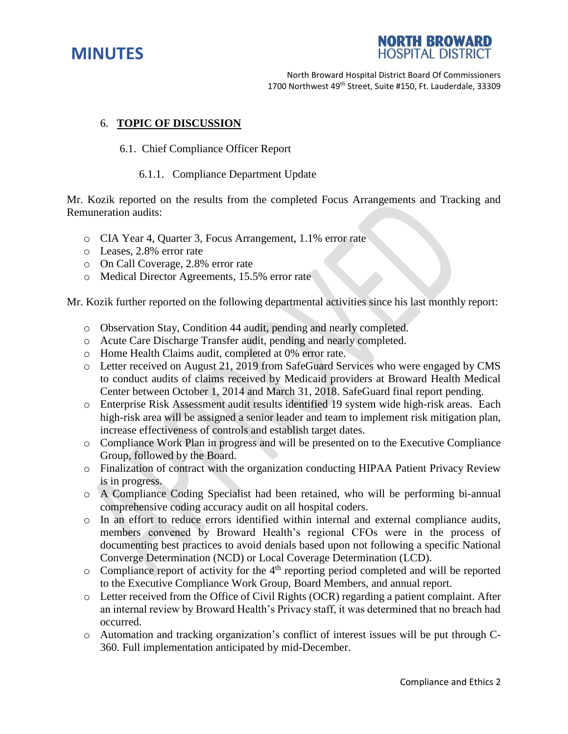



## 6. **TOPIC OF DISCUSSION**

#### 6.1. Chief Compliance Officer Report

#### 6.1.1. Compliance Department Update

Mr. Kozik reported on the results from the completed Focus Arrangements and Tracking and Remuneration audits:

- o CIA Year 4, Quarter 3, Focus Arrangement, 1.1% error rate
- o Leases, 2.8% error rate
- o On Call Coverage, 2.8% error rate
- o Medical Director Agreements, 15.5% error rate

Mr. Kozik further reported on the following departmental activities since his last monthly report:

- o Observation Stay, Condition 44 audit, pending and nearly completed.
- o Acute Care Discharge Transfer audit, pending and nearly completed.
- o Home Health Claims audit, completed at 0% error rate.
- o Letter received on August 21, 2019 from SafeGuard Services who were engaged by CMS to conduct audits of claims received by Medicaid providers at Broward Health Medical Center between October 1, 2014 and March 31, 2018. SafeGuard final report pending.
- o Enterprise Risk Assessment audit results identified 19 system wide high-risk areas. Each high-risk area will be assigned a senior leader and team to implement risk mitigation plan, increase effectiveness of controls and establish target dates.
- o Compliance Work Plan in progress and will be presented on to the Executive Compliance Group, followed by the Board.
- o Finalization of contract with the organization conducting HIPAA Patient Privacy Review is in progress.
- o A Compliance Coding Specialist had been retained, who will be performing bi-annual comprehensive coding accuracy audit on all hospital coders.
- o In an effort to reduce errors identified within internal and external compliance audits, members convened by Broward Health's regional CFOs were in the process of documenting best practices to avoid denials based upon not following a specific National Converge Determination (NCD) or Local Coverage Determination (LCD).
- $\circ$  Compliance report of activity for the 4<sup>th</sup> reporting period completed and will be reported to the Executive Compliance Work Group, Board Members, and annual report.
- o Letter received from the Office of Civil Rights (OCR) regarding a patient complaint. After an internal review by Broward Health's Privacy staff, it was determined that no breach had occurred.
- o Automation and tracking organization's conflict of interest issues will be put through C-360. Full implementation anticipated by mid-December.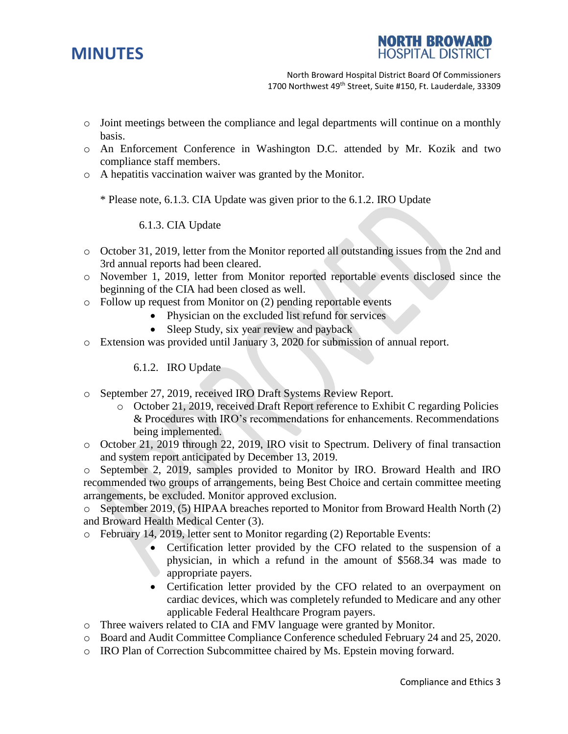



- o Joint meetings between the compliance and legal departments will continue on a monthly basis.
- o An Enforcement Conference in Washington D.C. attended by Mr. Kozik and two compliance staff members.
- o A hepatitis vaccination waiver was granted by the Monitor.

\* Please note, 6.1.3. CIA Update was given prior to the 6.1.2. IRO Update

6.1.3. CIA Update

- o October 31, 2019, letter from the Monitor reported all outstanding issues from the 2nd and 3rd annual reports had been cleared.
- o November 1, 2019, letter from Monitor reported reportable events disclosed since the beginning of the CIA had been closed as well.
- o Follow up request from Monitor on (2) pending reportable events
	- Physician on the excluded list refund for services
	- Sleep Study, six year review and payback
- o Extension was provided until January 3, 2020 for submission of annual report.

6.1.2. IRO Update

- o September 27, 2019, received IRO Draft Systems Review Report.
	- o October 21, 2019, received Draft Report reference to Exhibit C regarding Policies & Procedures with IRO's recommendations for enhancements. Recommendations being implemented.
- o October 21, 2019 through 22, 2019, IRO visit to Spectrum. Delivery of final transaction and system report anticipated by December 13, 2019.

o September 2, 2019, samples provided to Monitor by IRO. Broward Health and IRO recommended two groups of arrangements, being Best Choice and certain committee meeting arrangements, be excluded. Monitor approved exclusion.

o September 2019, (5) HIPAA breaches reported to Monitor from Broward Health North (2) and Broward Health Medical Center (3).

- o February 14, 2019, letter sent to Monitor regarding (2) Reportable Events:
	- Certification letter provided by the CFO related to the suspension of a physician, in which a refund in the amount of \$568.34 was made to appropriate payers.
	- Certification letter provided by the CFO related to an overpayment on cardiac devices, which was completely refunded to Medicare and any other applicable Federal Healthcare Program payers.
- o Three waivers related to CIA and FMV language were granted by Monitor.
- o Board and Audit Committee Compliance Conference scheduled February 24 and 25, 2020.
- o IRO Plan of Correction Subcommittee chaired by Ms. Epstein moving forward.